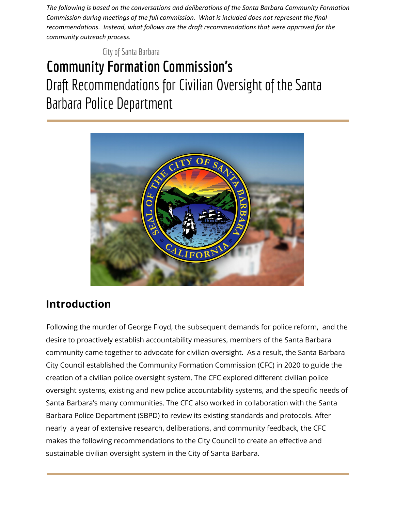*The following is based on the conversations and deliberations of the Santa Barbara Community Formation Commission during meetings of the full commission. What is included does not represent the final recommendations. Instead, what follows are the draft recommendations that were approved for the community outreach process.*

City of Santa Barbara

# **Community Formation Commission's** Draft Recommendations for Civilian Oversight of the Santa Barbara Police Department



# **Introduction**

Following the murder of George Floyd, the subsequent demands for police reform, and the desire to proactively establish accountability measures, members of the Santa Barbara community came together to advocate for civilian oversight. As a result, the Santa Barbara City Council established the Community Formation Commission (CFC) in 2020 to guide the creation of a civilian police oversight system. The CFC explored different civilian police oversight systems, existing and new police accountability systems, and the specific needs of Santa Barbara's many communities. The CFC also worked in collaboration with the Santa Barbara Police Department (SBPD) to review its existing standards and protocols. After nearly a year of extensive research, deliberations, and community feedback, the CFC makes the following recommendations to the City Council to create an effective and sustainable civilian oversight system in the City of Santa Barbara.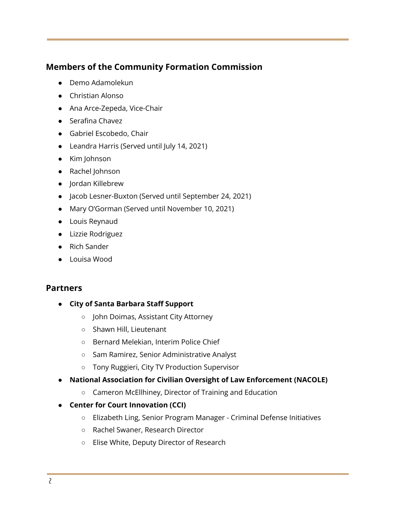# **Members of the Community Formation Commission**

- Demo Adamolekun
- Christian Alonso
- Ana Arce-Zepeda, Vice-Chair
- Serafina Chavez
- Gabriel Escobedo, Chair
- Leandra Harris (Served until July 14, 2021)
- Kim Johnson
- Rachel Johnson
- Jordan Killebrew
- Jacob Lesner-Buxton (Served until September 24, 2021)
- Mary O'Gorman (Served until November 10, 2021)
- Louis Reynaud
- Lizzie Rodriguez
- Rich Sander
- Louisa Wood

#### **Partners**

- **● City of Santa Barbara Staff Support**
	- John Doimas, Assistant City Attorney
	- Shawn Hill, Lieutenant
	- Bernard Melekian, Interim Police Chief
	- Sam Ramirez, Senior Administrative Analyst
	- Tony Ruggieri, City TV Production Supervisor
- **● National Association for Civilian Oversight of Law Enforcement (NACOLE)**
	- Cameron McEllhiney, Director of Training and Education
- **● Center for Court Innovation (CCI)**
	- Elizabeth Ling, Senior Program Manager Criminal Defense Initiatives
	- Rachel Swaner, Research Director
	- Elise White, Deputy Director of Research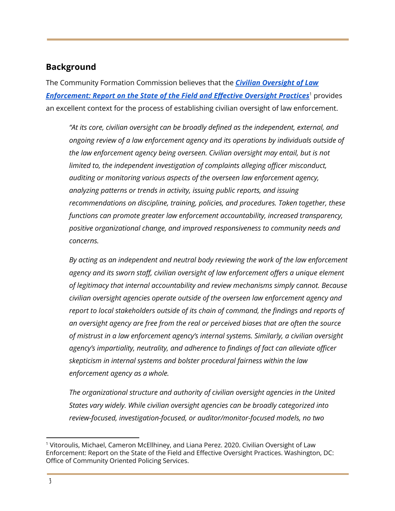# **Background**

The Community Formation Commission believes that the *Civilian [Oversight](https://cops.usdoj.gov/RIC/Publications/cops-w0952-pub.pdf) of Law [Enforcement:](https://cops.usdoj.gov/RIC/Publications/cops-w0952-pub.pdf) Report on the State of the Field and Effective Oversight Practices* provides 1 an excellent context for the process of establishing civilian oversight of law enforcement.

*"At its core, civilian oversight can be broadly defined as the independent, external, and ongoing review of a law enforcement agency and its operations by individuals outside of the law enforcement agency being overseen. Civilian oversight may entail, but is not limited to, the independent investigation of complaints alleging officer misconduct, auditing or monitoring various aspects of the overseen law enforcement agency, analyzing patterns or trends in activity, issuing public reports, and issuing recommendations on discipline, training, policies, and procedures. Taken together, these functions can promote greater law enforcement accountability, increased transparency, positive organizational change, and improved responsiveness to community needs and concerns.*

*By acting as an independent and neutral body reviewing the work of the law enforcement agency and its sworn staff, civilian oversight of law enforcement offers a unique element of legitimacy that internal accountability and review mechanisms simply cannot. Because civilian oversight agencies operate outside of the overseen law enforcement agency and report to local stakeholders outside of its chain of command, the findings and reports of an oversight agency are free from the real or perceived biases that are often the source of mistrust in a law enforcement agency's internal systems. Similarly, a civilian oversight agency's impartiality, neutrality, and adherence to findings of fact can alleviate officer skepticism in internal systems and bolster procedural fairness within the law enforcement agency as a whole.*

*The organizational structure and authority of civilian oversight agencies in the United States vary widely. While civilian oversight agencies can be broadly categorized into review-focused, investigation-focused, or auditor/monitor-focused models, no two*

<sup>&</sup>lt;sup>1</sup> Vitoroulis, Michael, Cameron McEllhiney, and Liana Perez. 2020. Civilian Oversight of Law Enforcement: Report on the State of the Field and Effective Oversight Practices. Washington, DC: Office of Community Oriented Policing Services.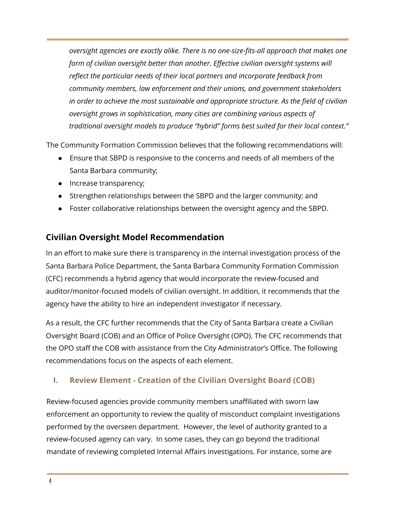*oversight agencies are exactly alike. There is no one-size-fits-all approach that makes one form of civilian oversight better than another. Effective civilian oversight systems will reflect the particular needs of their local partners and incorporate feedback from community members, law enforcement and their unions, and government stakeholders in order to achieve the most sustainable and appropriate structure. As the field of civilian oversight grows in sophistication, many cities are combining various aspects of traditional oversight models to produce "hybrid" forms best suited for their local context."*

The Community Formation Commission believes that the following recommendations will:

- Ensure that SBPD is responsive to the concerns and needs of all members of the Santa Barbara community;
- Increase transparency;
- Strengthen relationships between the SBPD and the larger community; and
- Foster collaborative relationships between the oversight agency and the SBPD.

# **Civilian Oversight Model Recommendation**

In an effort to make sure there is transparency in the internal investigation process of the Santa Barbara Police Department, the Santa Barbara Community Formation Commission (CFC) recommends a hybrid agency that would incorporate the review-focused and auditor/monitor-focused models of civilian oversight. In addition, it recommends that the agency have the ability to hire an independent investigator if necessary.

As a result, the CFC further recommends that the City of Santa Barbara create a Civilian Oversight Board (COB) and an Office of Police Oversight (OPO). The CFC recommends that the OPO staff the COB with assistance from the City Administrator's Office. The following recommendations focus on the aspects of each element.

# **I. Review Element - Creation of the Civilian Oversight Board (COB)**

Review-focused agencies provide community members unaffiliated with sworn law enforcement an opportunity to review the quality of misconduct complaint investigations performed by the overseen department. However, the level of authority granted to a review-focused agency can vary. In some cases, they can go beyond the traditional mandate of reviewing completed Internal Affairs investigations. For instance, some are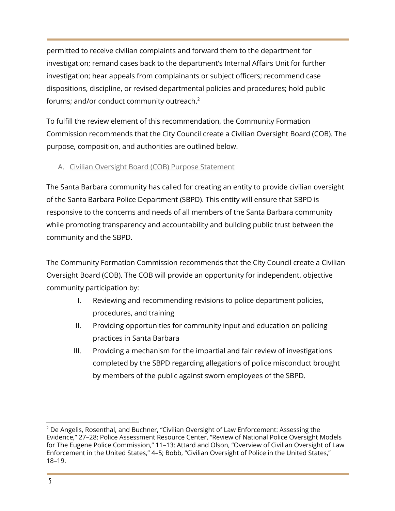permitted to receive civilian complaints and forward them to the department for investigation; remand cases back to the department's Internal Affairs Unit for further investigation; hear appeals from complainants or subject officers; recommend case dispositions, discipline, or revised departmental policies and procedures; hold public forums; and/or conduct community outreach. 2

To fulfill the review element of this recommendation, the Community Formation Commission recommends that the City Council create a Civilian Oversight Board (COB). The purpose, composition, and authorities are outlined below.

#### A. Civilian Oversight Board (COB) Purpose Statement

The Santa Barbara community has called for creating an entity to provide civilian oversight of the Santa Barbara Police Department (SBPD). This entity will ensure that SBPD is responsive to the concerns and needs of all members of the Santa Barbara community while promoting transparency and accountability and building public trust between the community and the SBPD.

The Community Formation Commission recommends that the City Council create a Civilian Oversight Board (COB). The COB will provide an opportunity for independent, objective community participation by:

- I. Reviewing and recommending revisions to police department policies, procedures, and training
- II. Providing opportunities for community input and education on policing practices in Santa Barbara
- III. Providing a mechanism for the impartial and fair review of investigations completed by the SBPD regarding allegations of police misconduct brought by members of the public against sworn employees of the SBPD.

 $2$  De Angelis, Rosenthal, and Buchner, "Civilian Oversight of Law Enforcement: Assessing the Evidence," 27–28; Police Assessment Resource Center, "Review of National Police Oversight Models for The Eugene Police Commission," 11–13; Attard and Olson, "Overview of Civilian Oversight of Law Enforcement in the United States," 4–5; Bobb, "Civilian Oversight of Police in the United States," 18–19.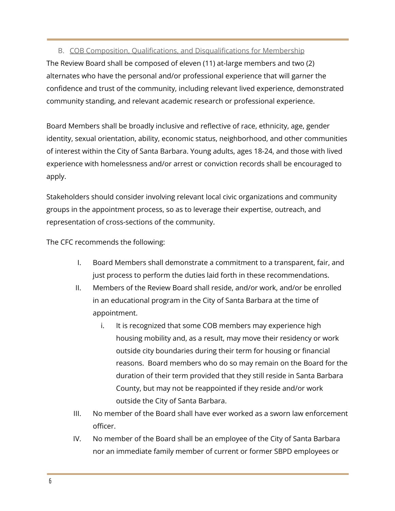#### B. COB Composition, Qualifications, and Disqualifications for Membership

The Review Board shall be composed of eleven (11) at-large members and two (2) alternates who have the personal and/or professional experience that will garner the confidence and trust of the community, including relevant lived experience, demonstrated community standing, and relevant academic research or professional experience.

Board Members shall be broadly inclusive and reflective of race, ethnicity, age, gender identity, sexual orientation, ability, economic status, neighborhood, and other communities of interest within the City of Santa Barbara. Young adults, ages 18-24, and those with lived experience with homelessness and/or arrest or conviction records shall be encouraged to apply.

Stakeholders should consider involving relevant local civic organizations and community groups in the appointment process, so as to leverage their expertise, outreach, and representation of cross-sections of the community.

The CFC recommends the following:

- I. Board Members shall demonstrate a commitment to a transparent, fair, and just process to perform the duties laid forth in these recommendations.
- II. Members of the Review Board shall reside, and/or work, and/or be enrolled in an educational program in the City of Santa Barbara at the time of appointment.
	- i. It is recognized that some COB members may experience high housing mobility and, as a result, may move their residency or work outside city boundaries during their term for housing or financial reasons. Board members who do so may remain on the Board for the duration of their term provided that they still reside in Santa Barbara County, but may not be reappointed if they reside and/or work outside the City of Santa Barbara.
- III. No member of the Board shall have ever worked as a sworn law enforcement officer.
- IV. No member of the Board shall be an employee of the City of Santa Barbara nor an immediate family member of current or former SBPD employees or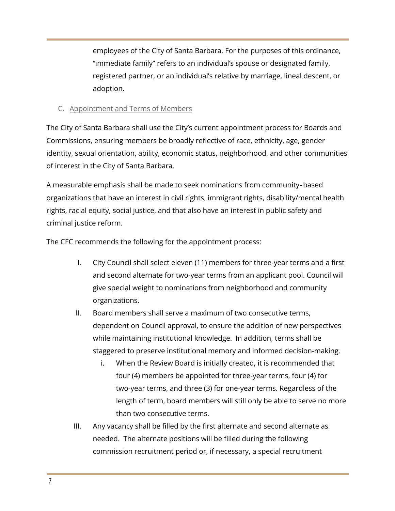employees of the City of Santa Barbara. For the purposes of this ordinance, "immediate family" refers to an individual's spouse or designated family, registered partner, or an individual's relative by marriage, lineal descent, or adoption.

#### C. Appointment and Terms of Members

The City of Santa Barbara shall use the City's current appointment process for Boards and Commissions, ensuring members be broadly reflective of race, ethnicity, age, gender identity, sexual orientation, ability, economic status, neighborhood, and other communities of interest in the City of Santa Barbara.

A measurable emphasis shall be made to seek nominations from community‐based organizations that have an interest in civil rights, immigrant rights, disability/mental health rights, racial equity, social justice, and that also have an interest in public safety and criminal justice reform.

The CFC recommends the following for the appointment process:

- I. City Council shall select eleven (11) members for three-year terms and a first and second alternate for two-year terms from an applicant pool. Council will give special weight to nominations from neighborhood and community organizations.
- II. Board members shall serve a maximum of two consecutive terms, dependent on Council approval, to ensure the addition of new perspectives while maintaining institutional knowledge. In addition, terms shall be staggered to preserve institutional memory and informed decision-making.
	- i. When the Review Board is initially created, it is recommended that four (4) members be appointed for three-year terms, four (4) for two-year terms, and three (3) for one-year terms. Regardless of the length of term, board members will still only be able to serve no more than two consecutive terms.
- III. Any vacancy shall be filled by the first alternate and second alternate as needed. The alternate positions will be filled during the following commission recruitment period or, if necessary, a special recruitment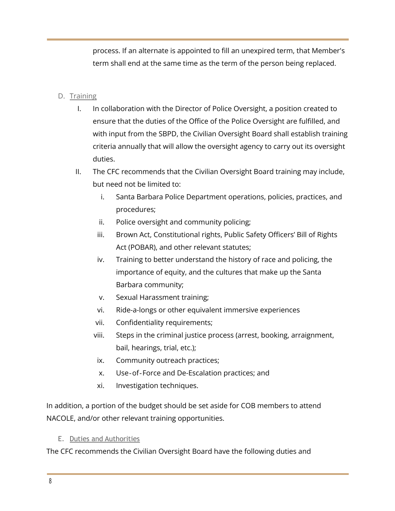process. If an alternate is appointed to fill an unexpired term, that Member's term shall end at the same time as the term of the person being replaced.

#### D. Training

- I. In collaboration with the Director of Police Oversight, a position created to ensure that the duties of the Office of the Police Oversight are fulfilled, and with input from the SBPD, the Civilian Oversight Board shall establish training criteria annually that will allow the oversight agency to carry out its oversight duties.
- II. The CFC recommends that the Civilian Oversight Board training may include, but need not be limited to:
	- i. Santa Barbara Police Department operations, policies, practices, and procedures;
	- ii. Police oversight and community policing;
	- iii. Brown Act, Constitutional rights, Public Safety Officers' Bill of Rights Act (POBAR), and other relevant statutes;
	- iv. Training to better understand the history of race and policing, the importance of equity, and the cultures that make up the Santa Barbara community;
	- v. Sexual Harassment training;
	- vi. Ride-a-longs or other equivalent immersive experiences
	- vii. Confidentiality requirements;
	- viii. Steps in the criminal justice process (arrest, booking, arraignment, bail, hearings, trial, etc.);
	- ix. Community outreach practices;
	- x. Use‐of‐Force and De-Escalation practices; and
	- xi. Investigation techniques.

In addition, a portion of the budget should be set aside for COB members to attend NACOLE, and/or other relevant training opportunities.

#### E. Duties and Authorities

The CFC recommends the Civilian Oversight Board have the following duties and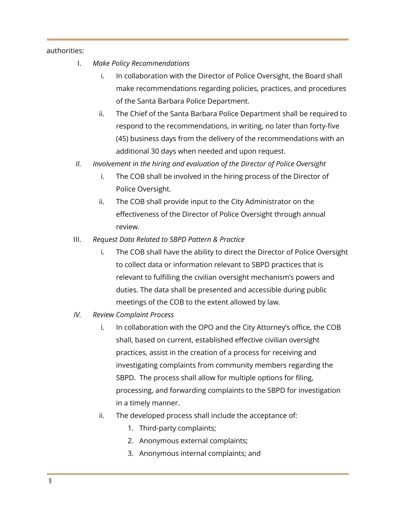authorities:

- I. *Make Policy Recommendations*
	- i. In collaboration with the Director of Police Oversight, the Board shall make recommendations regarding policies, practices, and procedures of the Santa Barbara Police Department.
	- ii. The Chief of the Santa Barbara Police Department shall be required to respond to the recommendations, in writing, no later than forty-five (45) business days from the delivery of the recommendations with an additional 30 days when needed and upon request.
- *II. Involvement in the hiring and evaluation of the Director of Police Oversight*
	- i. The COB shall be involved in the hiring process of the Director of Police Oversight.
	- ii. The COB shall provide input to the City Administrator on the effectiveness of the Director of Police Oversight through annual review.
- III. *Request Data Related to SBPD Pattern & Practice*
	- i. The COB shall have the ability to direct the Director of Police Oversight to collect data or information relevant to SBPD practices that is relevant to fulfilling the civilian oversight mechanism's powers and duties. The data shall be presented and accessible during public meetings of the COB to the extent allowed by law.
- *IV. Review Complaint Process*
	- i. In collaboration with the OPO and the City Attorney's office, the COB shall, based on current, established effective civilian oversight practices, assist in the creation of a process for receiving and investigating complaints from community members regarding the SBPD. The process shall allow for multiple options for filing, processing, and forwarding complaints to the SBPD for investigation in a timely manner.
	- ii. The developed process shall include the acceptance of:
		- 1. Third-party complaints;
		- 2. Anonymous external complaints;
		- 3. Anonymous internal complaints; and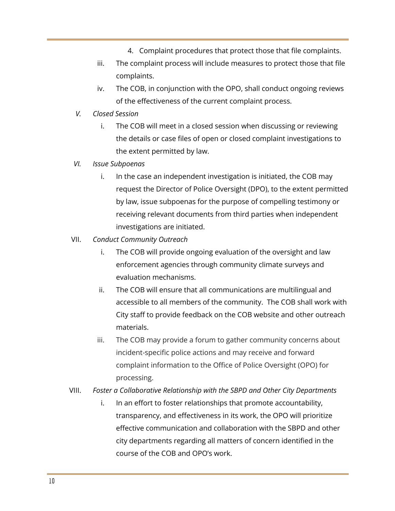- 4. Complaint procedures that protect those that file complaints.
- iii. The complaint process will include measures to protect those that file complaints.
- iv. The COB, in conjunction with the OPO, shall conduct ongoing reviews of the effectiveness of the current complaint process.
- *V. Closed Session*
	- i. The COB will meet in a closed session when discussing or reviewing the details or case files of open or closed complaint investigations to the extent permitted by law.
- *VI. Issue Subpoenas*
	- i. In the case an independent investigation is initiated, the COB may request the Director of Police Oversight (DPO), to the extent permitted by law, issue subpoenas for the purpose of compelling testimony or receiving relevant documents from third parties when independent investigations are initiated.
- VII. *Conduct Community Outreach*
	- i. The COB will provide ongoing evaluation of the oversight and law enforcement agencies through community climate surveys and evaluation mechanisms.
	- ii. The COB will ensure that all communications are multilingual and accessible to all members of the community. The COB shall work with City staff to provide feedback on the COB website and other outreach materials.
	- iii. The COB may provide a forum to gather community concerns about incident-specific police actions and may receive and forward complaint information to the Office of Police Oversight (OPO) for processing.
- VIII. *Foster a Collaborative Relationship with the SBPD and Other City Departments*
	- i. In an effort to foster relationships that promote accountability, transparency, and effectiveness in its work, the OPO will prioritize effective communication and collaboration with the SBPD and other city departments regarding all matters of concern identified in the course of the COB and OPO's work.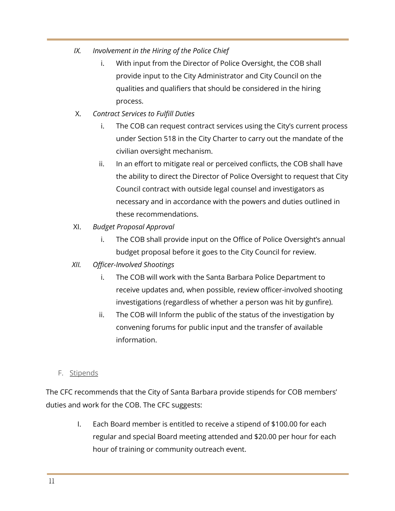- *IX. Involvement in the Hiring of the Police Chief*
	- i. With input from the Director of Police Oversight, the COB shall provide input to the City Administrator and City Council on the qualities and qualifiers that should be considered in the hiring process.
- X. *Contract Services to Fulfill Duties*
	- i. The COB can request contract services using the City's current process under Section 518 in the City Charter to carry out the mandate of the civilian oversight mechanism.
	- ii. In an effort to mitigate real or perceived conflicts, the COB shall have the ability to direct the Director of Police Oversight to request that City Council contract with outside legal counsel and investigators as necessary and in accordance with the powers and duties outlined in these recommendations.
- XI. *Budget Proposal Approval*
	- i. The COB shall provide input on the Office of Police Oversight's annual budget proposal before it goes to the City Council for review.
- *XII. Officer-Involved Shootings*
	- i. The COB will work with the Santa Barbara Police Department to receive updates and, when possible, review officer-involved shooting investigations (regardless of whether a person was hit by gunfire).
	- ii. The COB will Inform the public of the status of the investigation by convening forums for public input and the transfer of available information.
- F. Stipends

The CFC recommends that the City of Santa Barbara provide stipends for COB members' duties and work for the COB. The CFC suggests:

> I. Each Board member is entitled to receive a stipend of \$100.00 for each regular and special Board meeting attended and \$20.00 per hour for each hour of training or community outreach event.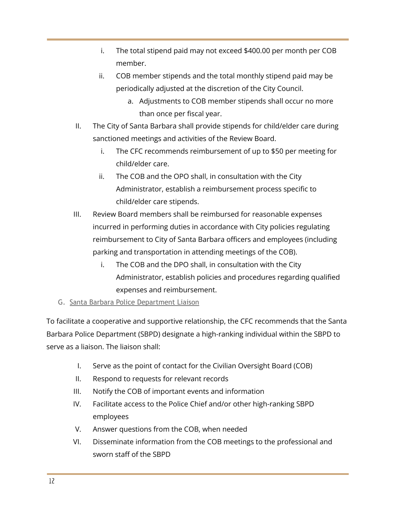- i. The total stipend paid may not exceed \$400.00 per month per COB member.
- ii. COB member stipends and the total monthly stipend paid may be periodically adjusted at the discretion of the City Council.
	- a. Adjustments to COB member stipends shall occur no more than once per fiscal year.
- II. The City of Santa Barbara shall provide stipends for child/elder care during sanctioned meetings and activities of the Review Board.
	- i. The CFC recommends reimbursement of up to \$50 per meeting for child/elder care.
	- ii. The COB and the OPO shall, in consultation with the City Administrator, establish a reimbursement process specific to child/elder care stipends.
- III. Review Board members shall be reimbursed for reasonable expenses incurred in performing duties in accordance with City policies regulating reimbursement to City of Santa Barbara officers and employees (including parking and transportation in attending meetings of the COB).
	- i. The COB and the DPO shall, in consultation with the City Administrator, establish policies and procedures regarding qualified expenses and reimbursement.
- G. Santa Barbara Police Department Liaison

To facilitate a cooperative and supportive relationship, the CFC recommends that the Santa Barbara Police Department (SBPD) designate a high-ranking individual within the SBPD to serve as a liaison. The liaison shall:

- I. Serve as the point of contact for the Civilian Oversight Board (COB)
- II. Respond to requests for relevant records
- III. Notify the COB of important events and information
- IV. Facilitate access to the Police Chief and/or other high-ranking SBPD employees
- V. Answer questions from the COB, when needed
- VI. Disseminate information from the COB meetings to the professional and sworn staff of the SBPD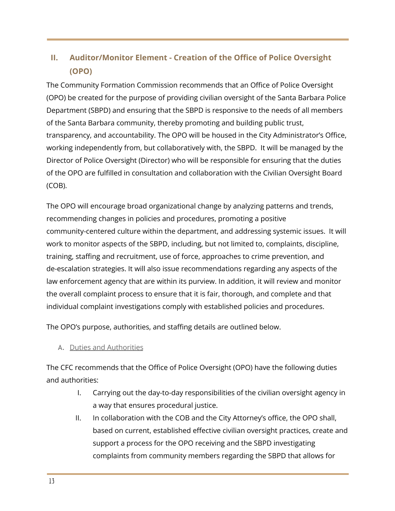# **II. Auditor/Monitor Element - Creation of the Office of Police Oversight (OPO)**

The Community Formation Commission recommends that an Office of Police Oversight (OPO) be created for the purpose of providing civilian oversight of the Santa Barbara Police Department (SBPD) and ensuring that the SBPD is responsive to the needs of all members of the Santa Barbara community, thereby promoting and building public trust, transparency, and accountability. The OPO will be housed in the City Administrator's Office, working independently from, but collaboratively with, the SBPD. It will be managed by the Director of Police Oversight (Director) who will be responsible for ensuring that the duties of the OPO are fulfilled in consultation and collaboration with the Civilian Oversight Board (COB).

The OPO will encourage broad organizational change by analyzing patterns and trends, recommending changes in policies and procedures, promoting a positive community-centered culture within the department, and addressing systemic issues. It will work to monitor aspects of the SBPD, including, but not limited to, complaints, discipline, training, staffing and recruitment, use of force, approaches to crime prevention, and de-escalation strategies. It will also issue recommendations regarding any aspects of the law enforcement agency that are within its purview. In addition, it will review and monitor the overall complaint process to ensure that it is fair, thorough, and complete and that individual complaint investigations comply with established policies and procedures.

The OPO's purpose, authorities, and staffing details are outlined below.

A. Duties and Authorities

The CFC recommends that the Office of Police Oversight (OPO) have the following duties and authorities:

- I. Carrying out the day-to-day responsibilities of the civilian oversight agency in a way that ensures procedural justice.
- II. In collaboration with the COB and the City Attorney's office, the OPO shall, based on current, established effective civilian oversight practices, create and support a process for the OPO receiving and the SBPD investigating complaints from community members regarding the SBPD that allows for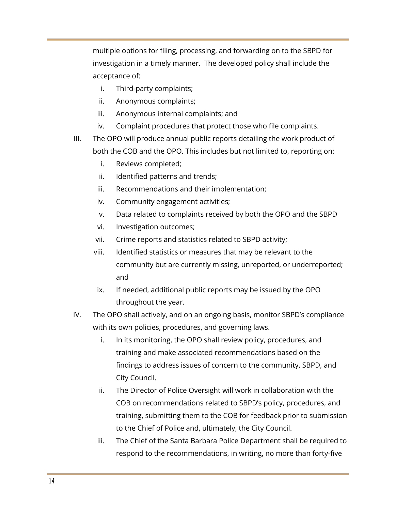multiple options for filing, processing, and forwarding on to the SBPD for investigation in a timely manner. The developed policy shall include the acceptance of:

- i. Third-party complaints;
- ii. Anonymous complaints;
- iii. Anonymous internal complaints; and
- iv. Complaint procedures that protect those who file complaints.
- III. The OPO will produce annual public reports detailing the work product of both the COB and the OPO. This includes but not limited to, reporting on:
	- i. Reviews completed;
	- ii. Identified patterns and trends;
	- iii. Recommendations and their implementation;
	- iv. Community engagement activities;
	- v. Data related to complaints received by both the OPO and the SBPD
	- vi. Investigation outcomes;
	- vii. Crime reports and statistics related to SBPD activity;
	- viii. Identified statistics or measures that may be relevant to the community but are currently missing, unreported, or underreported; and
	- ix. If needed, additional public reports may be issued by the OPO throughout the year.
- IV. The OPO shall actively, and on an ongoing basis, monitor SBPD's compliance with its own policies, procedures, and governing laws.
	- i. In its monitoring, the OPO shall review policy, procedures, and training and make associated recommendations based on the findings to address issues of concern to the community, SBPD, and City Council.
	- ii. The Director of Police Oversight will work in collaboration with the COB on recommendations related to SBPD's policy, procedures, and training, submitting them to the COB for feedback prior to submission to the Chief of Police and, ultimately, the City Council.
	- iii. The Chief of the Santa Barbara Police Department shall be required to respond to the recommendations, in writing, no more than forty-five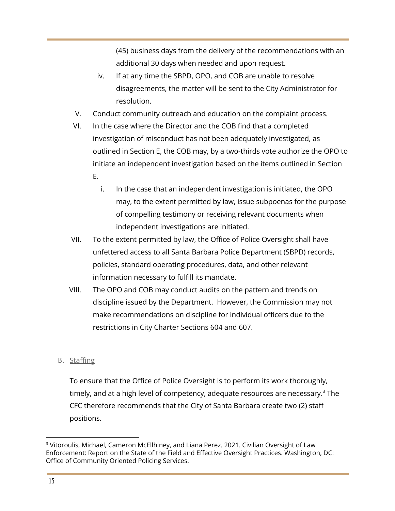(45) business days from the delivery of the recommendations with an additional 30 days when needed and upon request.

- iv. If at any time the SBPD, OPO, and COB are unable to resolve disagreements, the matter will be sent to the City Administrator for resolution.
- V. Conduct community outreach and education on the complaint process.
- VI. In the case where the Director and the COB find that a completed investigation of misconduct has not been adequately investigated, as outlined in Section E, the COB may, by a two-thirds vote authorize the OPO to initiate an independent investigation based on the items outlined in Section E.
	- i. In the case that an independent investigation is initiated, the OPO may, to the extent permitted by law, issue subpoenas for the purpose of compelling testimony or receiving relevant documents when independent investigations are initiated.
- VII. To the extent permitted by law, the Office of Police Oversight shall have unfettered access to all Santa Barbara Police Department (SBPD) records, policies, standard operating procedures, data, and other relevant information necessary to fulfill its mandate.
- VIII. The OPO and COB may conduct audits on the pattern and trends on discipline issued by the Department. However, the Commission may not make recommendations on discipline for individual officers due to the restrictions in City Charter Sections 604 and 607.
- B. Staffing

To ensure that the Office of Police Oversight is to perform its work thoroughly, timely, and at a high level of competency, adequate resources are necessary. $^3$  The CFC therefore recommends that the City of Santa Barbara create two (2) staff positions.

<sup>&</sup>lt;sup>3</sup> Vitoroulis, Michael, Cameron McEllhiney, and Liana Perez. 2021. Civilian Oversight of Law Enforcement: Report on the State of the Field and Effective Oversight Practices. Washington, DC: Office of Community Oriented Policing Services.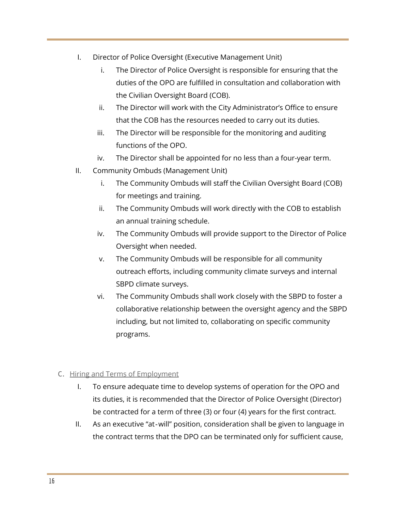- I. Director of Police Oversight (Executive Management Unit)
	- i. The Director of Police Oversight is responsible for ensuring that the duties of the OPO are fulfilled in consultation and collaboration with the Civilian Oversight Board (COB).
	- ii. The Director will work with the City Administrator's Office to ensure that the COB has the resources needed to carry out its duties.
	- iii. The Director will be responsible for the monitoring and auditing functions of the OPO.
	- iv. The Director shall be appointed for no less than a four-year term.
- II. Community Ombuds (Management Unit)
	- i. The Community Ombuds will staff the Civilian Oversight Board (COB) for meetings and training.
	- ii. The Community Ombuds will work directly with the COB to establish an annual training schedule.
	- iv. The Community Ombuds will provide support to the Director of Police Oversight when needed.
	- v. The Community Ombuds will be responsible for all community outreach efforts, including community climate surveys and internal SBPD climate surveys.
	- vi. The Community Ombuds shall work closely with the SBPD to foster a collaborative relationship between the oversight agency and the SBPD including, but not limited to, collaborating on specific community programs.

#### C. Hiring and Terms of Employment

- I. To ensure adequate time to develop systems of operation for the OPO and its duties, it is recommended that the Director of Police Oversight (Director) be contracted for a term of three (3) or four (4) years for the first contract.
- II. As an executive "at-will" position, consideration shall be given to language in the contract terms that the DPO can be terminated only for sufficient cause,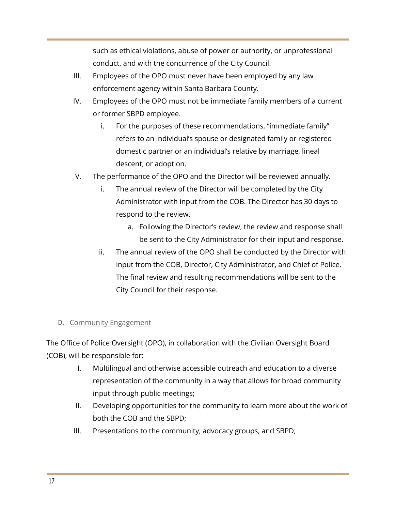such as ethical violations, abuse of power or authority, or unprofessional conduct, and with the concurrence of the City Council.

- III. Employees of the OPO must never have been employed by any law enforcement agency within Santa Barbara County.
- IV. Employees of the OPO must not be immediate family members of a current or former SBPD employee.
	- i. For the purposes of these recommendations, "immediate family" refers to an individual's spouse or designated family or registered domestic partner or an individual's relative by marriage, lineal descent, or adoption.
- V. The performance of the OPO and the Director will be reviewed annually.
	- i. The annual review of the Director will be completed by the City Administrator with input from the COB. The Director has 30 days to respond to the review.
		- a. Following the Director's review, the review and response shall be sent to the City Administrator for their input and response.
	- ii. The annual review of the OPO shall be conducted by the Director with input from the COB, Director, City Administrator, and Chief of Police. The final review and resulting recommendations will be sent to the City Council for their response.

#### D. Community Engagement

The Office of Police Oversight (OPO), in collaboration with the Civilian Oversight Board (COB), will be responsible for:

- I. Multilingual and otherwise accessible outreach and education to a diverse representation of the community in a way that allows for broad community input through public meetings;
- II. Developing opportunities for the community to learn more about the work of both the COB and the SBPD;
- III. Presentations to the community, advocacy groups, and SBPD;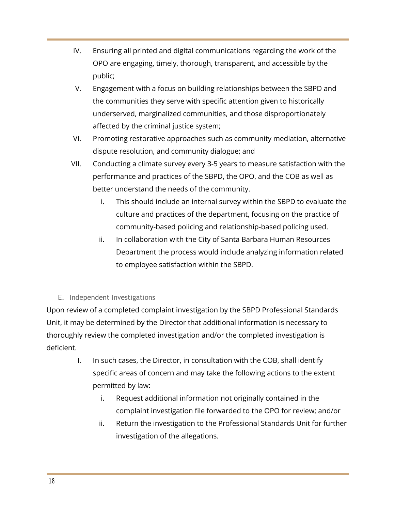- IV. Ensuring all printed and digital communications regarding the work of the OPO are engaging, timely, thorough, transparent, and accessible by the public;
- V. Engagement with a focus on building relationships between the SBPD and the communities they serve with specific attention given to historically underserved, marginalized communities, and those disproportionately affected by the criminal justice system;
- VI. Promoting restorative approaches such as community mediation, alternative dispute resolution, and community dialogue; and
- VII. Conducting a climate survey every 3-5 years to measure satisfaction with the performance and practices of the SBPD, the OPO, and the COB as well as better understand the needs of the community.
	- i. This should include an internal survey within the SBPD to evaluate the culture and practices of the department, focusing on the practice of community-based policing and relationship-based policing used.
	- ii. In collaboration with the City of Santa Barbara Human Resources Department the process would include analyzing information related to employee satisfaction within the SBPD.

#### E. Independent Investigations

Upon review of a completed complaint investigation by the SBPD Professional Standards Unit, it may be determined by the Director that additional information is necessary to thoroughly review the completed investigation and/or the completed investigation is deficient.

- I. In such cases, the Director, in consultation with the COB, shall identify specific areas of concern and may take the following actions to the extent permitted by law:
	- i. Request additional information not originally contained in the complaint investigation file forwarded to the OPO for review; and/or
	- ii. Return the investigation to the Professional Standards Unit for further investigation of the allegations.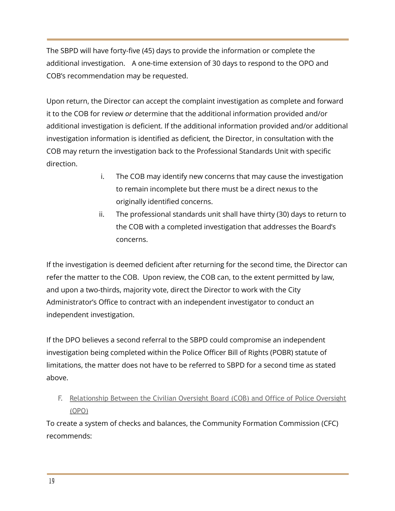The SBPD will have forty-five (45) days to provide the information or complete the additional investigation. A one-time extension of 30 days to respond to the OPO and COB's recommendation may be requested.

Upon return, the Director can accept the complaint investigation as complete and forward it to the COB for review *or* determine that the additional information provided and/or additional investigation is deficient. If the additional information provided and/or additional investigation information is identified as deficient*,* the Director, in consultation with the COB may return the investigation back to the Professional Standards Unit with specific direction.

- i. The COB may identify new concerns that may cause the investigation to remain incomplete but there must be a direct nexus to the originally identified concerns.
- ii. The professional standards unit shall have thirty (30) days to return to the COB with a completed investigation that addresses the Board's concerns.

If the investigation is deemed deficient after returning for the second time, the Director can refer the matter to the COB. Upon review, the COB can, to the extent permitted by law, and upon a two-thirds, majority vote, direct the Director to work with the City Administrator's Office to contract with an independent investigator to conduct an independent investigation.

If the DPO believes a second referral to the SBPD could compromise an independent investigation being completed within the Police Officer Bill of Rights (POBR) statute of limitations, the matter does not have to be referred to SBPD for a second time as stated above.

F. Relationship Between the Civilian Oversight Board (COB) and Office of Police Oversight (OPO)

To create a system of checks and balances, the Community Formation Commission (CFC) recommends: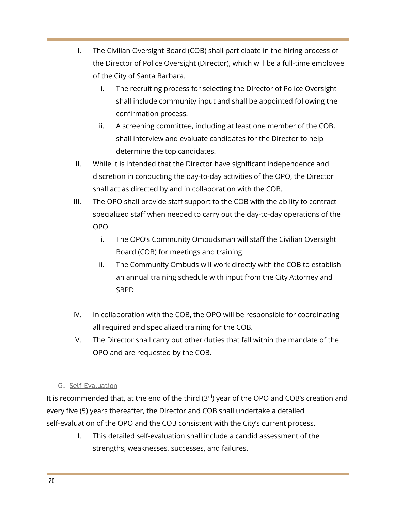- I. The Civilian Oversight Board (COB) shall participate in the hiring process of the Director of Police Oversight (Director), which will be a full-time employee of the City of Santa Barbara.
	- i. The recruiting process for selecting the Director of Police Oversight shall include community input and shall be appointed following the confirmation process.
	- ii. A screening committee, including at least one member of the COB, shall interview and evaluate candidates for the Director to help determine the top candidates.
- II. While it is intended that the Director have significant independence and discretion in conducting the day-to-day activities of the OPO, the Director shall act as directed by and in collaboration with the COB.
- III. The OPO shall provide staff support to the COB with the ability to contract specialized staff when needed to carry out the day-to-day operations of the OPO.
	- i. The OPO's Community Ombudsman will staff the Civilian Oversight Board (COB) for meetings and training.
	- ii. The Community Ombuds will work directly with the COB to establish an annual training schedule with input from the City Attorney and SBPD.
- IV. In collaboration with the COB, the OPO will be responsible for coordinating all required and specialized training for the COB.
- V. The Director shall carry out other duties that fall within the mandate of the OPO and are requested by the COB.

#### G. Self-Evaluation

It is recommended that, at the end of the third (3<sup>rd</sup>) year of the OPO and COB's creation and every five (5) years thereafter, the Director and COB shall undertake a detailed self-evaluation of the OPO and the COB consistent with the City's current process.

> I. This detailed self-evaluation shall include a candid assessment of the strengths, weaknesses, successes, and failures.